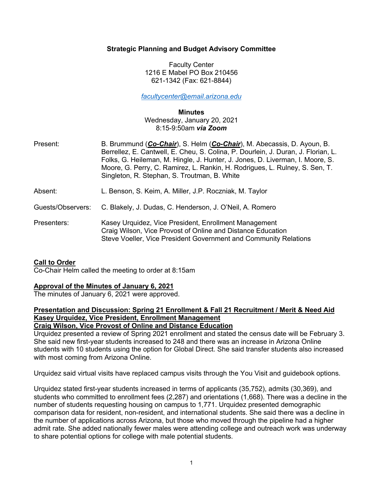# **Strategic Planning and Budget Advisory Committee**

Faculty Center 1216 E Mabel PO Box 210456 621-1342 (Fax: 621-8844)

*facultycenter@email.arizona.edu*

**Minutes**

Wednesday, January 20, 2021 8:15-9:50am *via Zoom*

| Present:          | B. Brummund (Co-Chair), S. Helm (Co-Chair), M. Abecassis, D. Ayoun, B.<br>Berrellez, E. Cantwell, E. Cheu, S. Colina, P. Dourlein, J. Duran, J. Florian, L.<br>Folks, G. Heileman, M. Hingle, J. Hunter, J. Jones, D. Liverman, I. Moore, S.<br>Moore, G. Perry, C. Ramirez, L. Rankin, H. Rodrigues, L. Rulney, S. Sen, T.<br>Singleton, R. Stephan, S. Troutman, B. White |
|-------------------|-----------------------------------------------------------------------------------------------------------------------------------------------------------------------------------------------------------------------------------------------------------------------------------------------------------------------------------------------------------------------------|
| Absent:           | L. Benson, S. Keim, A. Miller, J.P. Roczniak, M. Taylor                                                                                                                                                                                                                                                                                                                     |
| Guests/Observers: | C. Blakely, J. Dudas, C. Henderson, J. O'Neil, A. Romero                                                                                                                                                                                                                                                                                                                    |
| Presenters:       | Kasey Urquidez, Vice President, Enrollment Management<br>Craig Wilson, Vice Provost of Online and Distance Education<br>Steve Voeller, Vice President Government and Community Relations                                                                                                                                                                                    |

# **Call to Order**

Co-Chair Helm called the meeting to order at 8:15am

## **Approval of the Minutes of January 6, 2021**

The minutes of January 6, 2021 were approved.

#### **Presentation and Discussion: Spring 21 Enrollment & Fall 21 Recruitment / Merit & Need Aid Kasey Urquidez, Vice President, Enrollment Management Craig Wilson, Vice Provost of Online and Distance Education**

Urquidez presented a review of Spring 2021 enrollment and stated the census date will be February 3. She said new first-year students increased to 248 and there was an increase in Arizona Online

students with 10 students using the option for Global Direct. She said transfer students also increased with most coming from Arizona Online.

Urquidez said virtual visits have replaced campus visits through the You Visit and guidebook options.

Urquidez stated first-year students increased in terms of applicants (35,752), admits (30,369), and students who committed to enrollment fees (2,287) and orientations (1,668). There was a decline in the number of students requesting housing on campus to 1,771. Urquidez presented demographic comparison data for resident, non-resident, and international students. She said there was a decline in the number of applications across Arizona, but those who moved through the pipeline had a higher admit rate. She added nationally fewer males were attending college and outreach work was underway to share potential options for college with male potential students.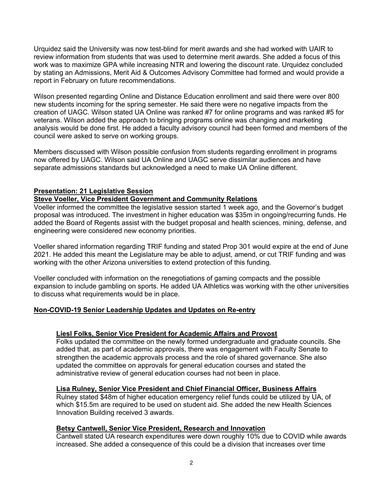Urquidez said the University was now test-blind for merit awards and she had worked with UAIR to review information from students that was used to determine merit awards. She added a focus of this work was to maximize GPA while increasing NTR and lowering the discount rate. Urquidez concluded by stating an Admissions, Merit Aid & Outcomes Advisory Committee had formed and would provide a report in February on future recommendations.

Wilson presented regarding Online and Distance Education enrollment and said there were over 800 new students incoming for the spring semester. He said there were no negative impacts from the creation of UAGC. Wilson stated UA Online was ranked #7 for online programs and was ranked #5 for veterans. Wilson added the approach to bringing programs online was changing and marketing analysis would be done first. He added a faculty advisory council had been formed and members of the council were asked to serve on working groups.

Members discussed with Wilson possible confusion from students regarding enrollment in programs now offered by UAGC. Wilson said UA Online and UAGC serve dissimilar audiences and have separate admissions standards but acknowledged a need to make UA Online different.

### **Presentation: 21 Legislative Session**

### **Steve Voeller, Vice President Government and Community Relations**

Voeller informed the committee the legislative session started 1 week ago, and the Governor's budget proposal was introduced. The investment in higher education was \$35m in ongoing/recurring funds. He added the Board of Regents assist with the budget proposal and health sciences, mining, defense, and engineering were considered new economy priorities.

Voeller shared information regarding TRIF funding and stated Prop 301 would expire at the end of June 2021. He added this meant the Legislature may be able to adjust, amend, or cut TRIF funding and was working with the other Arizona universities to extend protection of this funding.

Voeller concluded with information on the renegotiations of gaming compacts and the possible expansion to include gambling on sports. He added UA Athletics was working with the other universities to discuss what requirements would be in place.

#### **Non-COVID-19 Senior Leadership Updates and Updates on Re-entry**

#### **Liesl Folks, Senior Vice President for Academic Affairs and Provost**

Folks updated the committee on the newly formed undergraduate and graduate councils. She added that, as part of academic approvals, there was engagement with Faculty Senate to strengthen the academic approvals process and the role of shared governance. She also updated the committee on approvals for general education courses and stated the administrative review of general education courses had not been in place.

#### **Lisa Rulney, Senior Vice President and Chief Financial Officer, Business Affairs**

Rulney stated \$48m of higher education emergency relief funds could be utilized by UA, of which \$15.5m are required to be used on student aid. She added the new Health Sciences Innovation Building received 3 awards.

#### **Betsy Cantwell, Senior Vice President, Research and Innovation**

Cantwell stated UA research expenditures were down roughly 10% due to COVID while awards increased. She added a consequence of this could be a division that increases over time